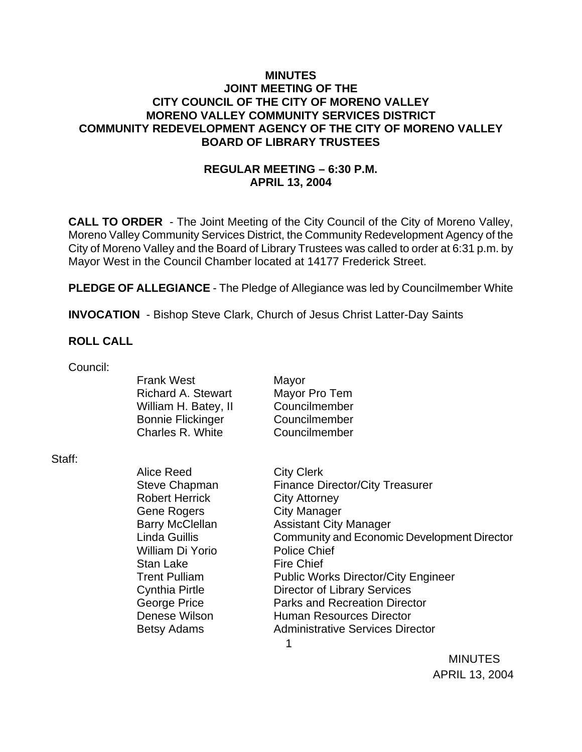### **MINUTES JOINT MEETING OF THE CITY COUNCIL OF THE CITY OF MORENO VALLEY MORENO VALLEY COMMUNITY SERVICES DISTRICT COMMUNITY REDEVELOPMENT AGENCY OF THE CITY OF MORENO VALLEY BOARD OF LIBRARY TRUSTEES**

## **REGULAR MEETING – 6:30 P.M. APRIL 13, 2004**

**CALL TO ORDER** - The Joint Meeting of the City Council of the City of Moreno Valley, Moreno Valley Community Services District, the Community Redevelopment Agency of the City of Moreno Valley and the Board of Library Trustees was called to order at 6:31 p.m. by Mayor West in the Council Chamber located at 14177 Frederick Street.

**PLEDGE OF ALLEGIANCE** - The Pledge of Allegiance was led by Councilmember White

**INVOCATION** - Bishop Steve Clark, Church of Jesus Christ Latter-Day Saints

#### **ROLL CALL**

| Council: |                           |                                             |                |
|----------|---------------------------|---------------------------------------------|----------------|
|          | <b>Frank West</b>         | Mayor                                       |                |
|          | <b>Richard A. Stewart</b> | Mayor Pro Tem                               |                |
|          | William H. Batey, II      | Councilmember                               |                |
|          | <b>Bonnie Flickinger</b>  | Councilmember                               |                |
|          | Charles R. White          | Councilmember                               |                |
| Staff:   |                           |                                             |                |
|          | <b>Alice Reed</b>         | <b>City Clerk</b>                           |                |
|          | <b>Steve Chapman</b>      | <b>Finance Director/City Treasurer</b>      |                |
|          | <b>Robert Herrick</b>     | <b>City Attorney</b>                        |                |
|          | Gene Rogers               | <b>City Manager</b>                         |                |
|          | <b>Barry McClellan</b>    | <b>Assistant City Manager</b>               |                |
|          | Linda Guillis             | Community and Economic Development Director |                |
|          | William Di Yorio          | <b>Police Chief</b>                         |                |
|          | <b>Stan Lake</b>          | <b>Fire Chief</b>                           |                |
|          | <b>Trent Pulliam</b>      | <b>Public Works Director/City Engineer</b>  |                |
|          | <b>Cynthia Pirtle</b>     | <b>Director of Library Services</b>         |                |
|          | George Price              | <b>Parks and Recreation Director</b>        |                |
|          | Denese Wilson             | <b>Human Resources Director</b>             |                |
|          | Betsy Adams               | <b>Administrative Services Director</b>     |                |
|          |                           | 1                                           |                |
|          |                           |                                             | <b>MINUTES</b> |

APRIL 13, 2004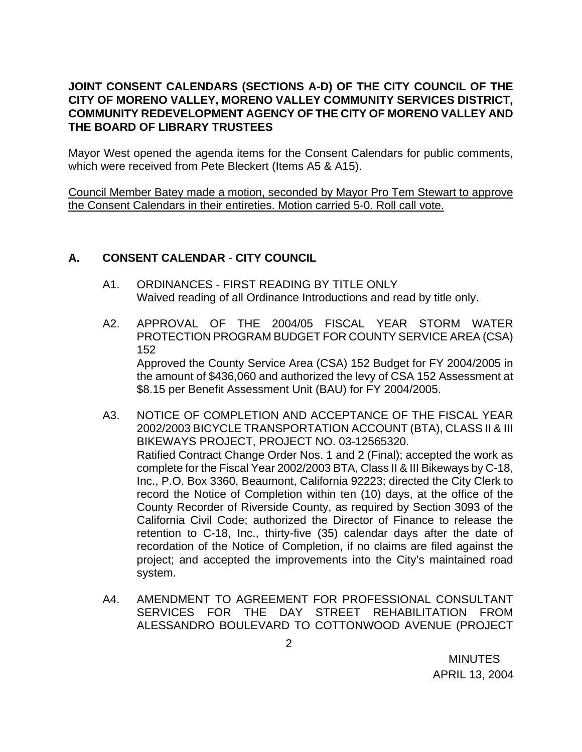## **JOINT CONSENT CALENDARS (SECTIONS A-D) OF THE CITY COUNCIL OF THE CITY OF MORENO VALLEY, MORENO VALLEY COMMUNITY SERVICES DISTRICT, COMMUNITY REDEVELOPMENT AGENCY OF THE CITY OF MORENO VALLEY AND THE BOARD OF LIBRARY TRUSTEES**

Mayor West opened the agenda items for the Consent Calendars for public comments, which were received from Pete Bleckert (Items A5 & A15).

Council Member Batey made a motion, seconded by Mayor Pro Tem Stewart to approve the Consent Calendars in their entireties. Motion carried 5-0. Roll call vote.

## **A. CONSENT CALENDAR** - **CITY COUNCIL**

- A1. ORDINANCES FIRST READING BY TITLE ONLY Waived reading of all Ordinance Introductions and read by title only.
- A2. APPROVAL OF THE 2004/05 FISCAL YEAR STORM WATER PROTECTION PROGRAM BUDGET FOR COUNTY SERVICE AREA (CSA) 152 Approved the County Service Area (CSA) 152 Budget for FY 2004/2005 in the amount of \$436,060 and authorized the levy of CSA 152 Assessment at \$8.15 per Benefit Assessment Unit (BAU) for FY 2004/2005.
- A3. NOTICE OF COMPLETION AND ACCEPTANCE OF THE FISCAL YEAR 2002/2003 BICYCLE TRANSPORTATION ACCOUNT (BTA), CLASS II & III BIKEWAYS PROJECT, PROJECT NO. 03-12565320. Ratified Contract Change Order Nos. 1 and 2 (Final); accepted the work as complete for the Fiscal Year 2002/2003 BTA, Class II & III Bikeways by C-18, Inc., P.O. Box 3360, Beaumont, California 92223; directed the City Clerk to record the Notice of Completion within ten (10) days, at the office of the County Recorder of Riverside County, as required by Section 3093 of the California Civil Code; authorized the Director of Finance to release the retention to C-18, Inc., thirty-five (35) calendar days after the date of recordation of the Notice of Completion, if no claims are filed against the project; and accepted the improvements into the City's maintained road system.
- A4. AMENDMENT TO AGREEMENT FOR PROFESSIONAL CONSULTANT SERVICES FOR THE DAY STREET REHABILITATION FROM ALESSANDRO BOULEVARD TO COTTONWOOD AVENUE (PROJECT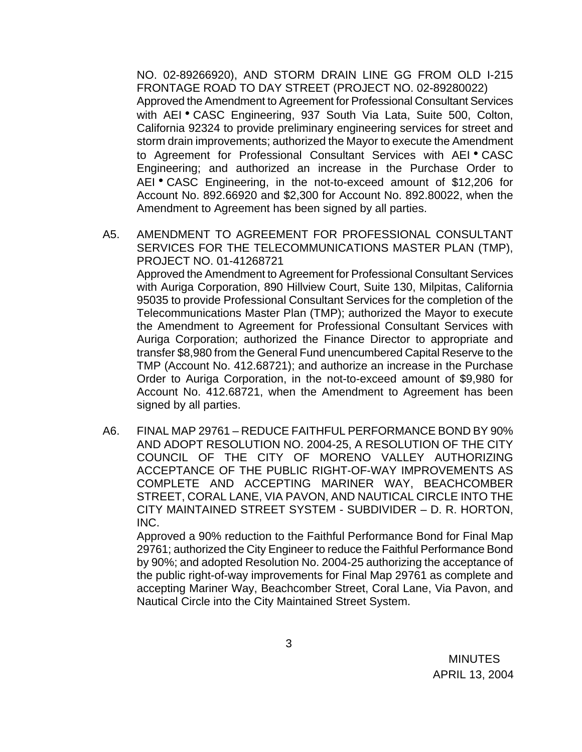NO. 02-89266920), AND STORM DRAIN LINE GG FROM OLD I-215 FRONTAGE ROAD TO DAY STREET (PROJECT NO. 02-89280022) Approved the Amendment to Agreement for Professional Consultant Services with AEI • CASC Engineering, 937 South Via Lata, Suite 500, Colton, California 92324 to provide preliminary engineering services for street and storm drain improvements; authorized the Mayor to execute the Amendment to Agreement for Professional Consultant Services with AEI . CASC Engineering; and authorized an increase in the Purchase Order to AEI • CASC Engineering, in the not-to-exceed amount of \$12,206 for Account No. 892.66920 and \$2,300 for Account No. 892.80022, when the Amendment to Agreement has been signed by all parties.

- A5. AMENDMENT TO AGREEMENT FOR PROFESSIONAL CONSULTANT SERVICES FOR THE TELECOMMUNICATIONS MASTER PLAN (TMP), PROJECT NO. 01-41268721 Approved the Amendment to Agreement for Professional Consultant Services with Auriga Corporation, 890 Hillview Court, Suite 130, Milpitas, California 95035 to provide Professional Consultant Services for the completion of the Telecommunications Master Plan (TMP); authorized the Mayor to execute the Amendment to Agreement for Professional Consultant Services with Auriga Corporation; authorized the Finance Director to appropriate and transfer \$8,980 from the General Fund unencumbered Capital Reserve to the TMP (Account No. 412.68721); and authorize an increase in the Purchase Order to Auriga Corporation, in the not-to-exceed amount of \$9,980 for Account No. 412.68721, when the Amendment to Agreement has been signed by all parties.
- A6. FINAL MAP 29761 REDUCE FAITHFUL PERFORMANCE BOND BY 90% AND ADOPT RESOLUTION NO. 2004-25, A RESOLUTION OF THE CITY COUNCIL OF THE CITY OF MORENO VALLEY AUTHORIZING ACCEPTANCE OF THE PUBLIC RIGHT-OF-WAY IMPROVEMENTS AS COMPLETE AND ACCEPTING MARINER WAY, BEACHCOMBER STREET, CORAL LANE, VIA PAVON, AND NAUTICAL CIRCLE INTO THE CITY MAINTAINED STREET SYSTEM - SUBDIVIDER – D. R. HORTON, INC.

 Approved a 90% reduction to the Faithful Performance Bond for Final Map 29761; authorized the City Engineer to reduce the Faithful Performance Bond by 90%; and adopted Resolution No. 2004-25 authorizing the acceptance of the public right-of-way improvements for Final Map 29761 as complete and accepting Mariner Way, Beachcomber Street, Coral Lane, Via Pavon, and Nautical Circle into the City Maintained Street System.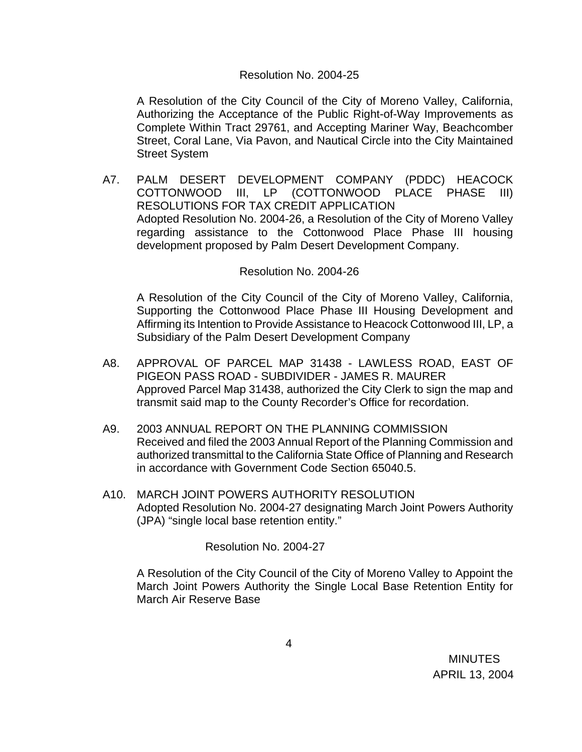#### Resolution No. 2004-25

A Resolution of the City Council of the City of Moreno Valley, California, Authorizing the Acceptance of the Public Right-of-Way Improvements as Complete Within Tract 29761, and Accepting Mariner Way, Beachcomber Street, Coral Lane, Via Pavon, and Nautical Circle into the City Maintained Street System

A7. PALM DESERT DEVELOPMENT COMPANY (PDDC) HEACOCK COTTONWOOD III, LP (COTTONWOOD PLACE PHASE III) RESOLUTIONS FOR TAX CREDIT APPLICATION Adopted Resolution No. 2004-26, a Resolution of the City of Moreno Valley regarding assistance to the Cottonwood Place Phase III housing development proposed by Palm Desert Development Company.

#### Resolution No. 2004-26

A Resolution of the City Council of the City of Moreno Valley, California, Supporting the Cottonwood Place Phase III Housing Development and Affirming its Intention to Provide Assistance to Heacock Cottonwood III, LP, a Subsidiary of the Palm Desert Development Company

- A8. APPROVAL OF PARCEL MAP 31438 LAWLESS ROAD, EAST OF PIGEON PASS ROAD - SUBDIVIDER - JAMES R. MAURER Approved Parcel Map 31438, authorized the City Clerk to sign the map and transmit said map to the County Recorder's Office for recordation.
- A9. 2003 ANNUAL REPORT ON THE PLANNING COMMISSION Received and filed the 2003 Annual Report of the Planning Commission and authorized transmittal to the California State Office of Planning and Research in accordance with Government Code Section 65040.5.
- A10. MARCH JOINT POWERS AUTHORITY RESOLUTION Adopted Resolution No. 2004-27 designating March Joint Powers Authority (JPA) "single local base retention entity."

Resolution No. 2004-27

A Resolution of the City Council of the City of Moreno Valley to Appoint the March Joint Powers Authority the Single Local Base Retention Entity for March Air Reserve Base

 MINUTES APRIL 13, 2004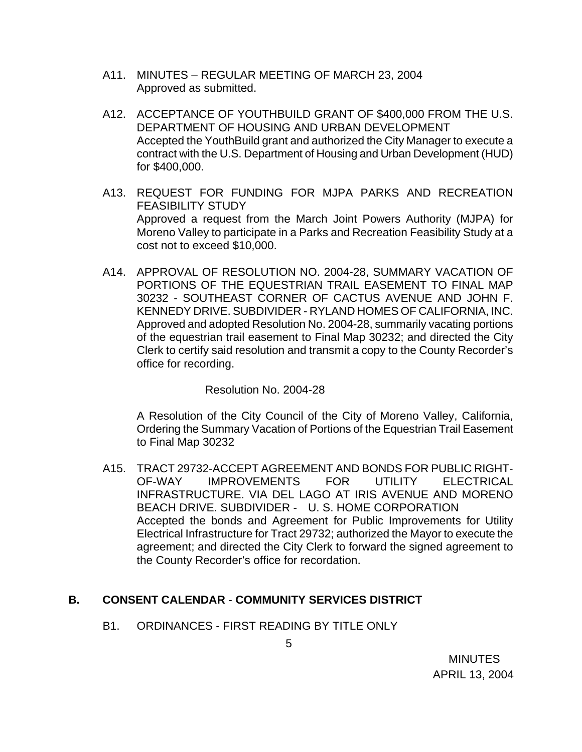- A11. MINUTES REGULAR MEETING OF MARCH 23, 2004 Approved as submitted.
- A12. ACCEPTANCE OF YOUTHBUILD GRANT OF \$400,000 FROM THE U.S. DEPARTMENT OF HOUSING AND URBAN DEVELOPMENT Accepted the YouthBuild grant and authorized the City Manager to execute a contract with the U.S. Department of Housing and Urban Development (HUD) for \$400,000.
- A13. REQUEST FOR FUNDING FOR MJPA PARKS AND RECREATION FEASIBILITY STUDY Approved a request from the March Joint Powers Authority (MJPA) for Moreno Valley to participate in a Parks and Recreation Feasibility Study at a cost not to exceed \$10,000.
- A14. APPROVAL OF RESOLUTION NO. 2004-28, SUMMARY VACATION OF PORTIONS OF THE EQUESTRIAN TRAIL EASEMENT TO FINAL MAP 30232 - SOUTHEAST CORNER OF CACTUS AVENUE AND JOHN F. KENNEDY DRIVE. SUBDIVIDER - RYLAND HOMES OF CALIFORNIA, INC. Approved and adopted Resolution No. 2004-28, summarily vacating portions of the equestrian trail easement to Final Map 30232; and directed the City Clerk to certify said resolution and transmit a copy to the County Recorder's office for recording.

Resolution No. 2004-28

A Resolution of the City Council of the City of Moreno Valley, California, Ordering the Summary Vacation of Portions of the Equestrian Trail Easement to Final Map 30232

A15. TRACT 29732-ACCEPT AGREEMENT AND BONDS FOR PUBLIC RIGHT-OF-WAY IMPROVEMENTS FOR UTILITY ELECTRICAL INFRASTRUCTURE. VIA DEL LAGO AT IRIS AVENUE AND MORENO BEACH DRIVE. SUBDIVIDER - U. S. HOME CORPORATION Accepted the bonds and Agreement for Public Improvements for Utility Electrical Infrastructure for Tract 29732; authorized the Mayor to execute the agreement; and directed the City Clerk to forward the signed agreement to the County Recorder's office for recordation.

## **B. CONSENT CALENDAR** - **COMMUNITY SERVICES DISTRICT**

B1. ORDINANCES - FIRST READING BY TITLE ONLY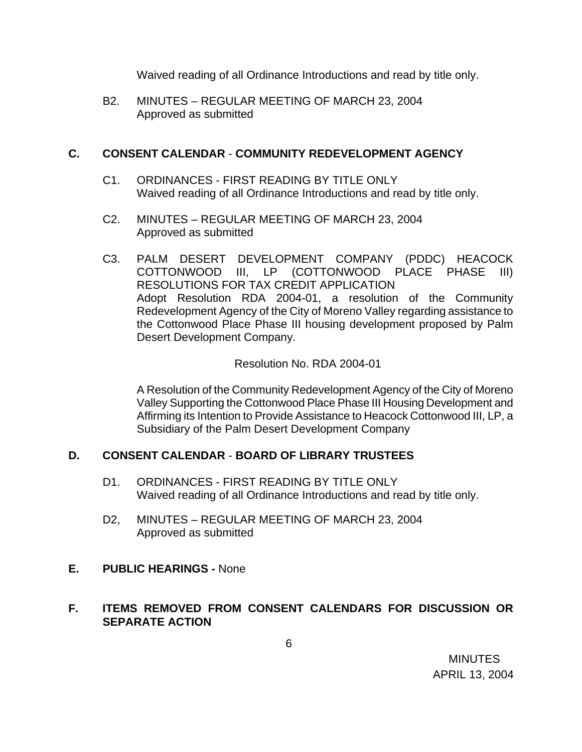Waived reading of all Ordinance Introductions and read by title only.

B2. MINUTES – REGULAR MEETING OF MARCH 23, 2004 Approved as submitted

### **C. CONSENT CALENDAR** - **COMMUNITY REDEVELOPMENT AGENCY**

- C1. ORDINANCES FIRST READING BY TITLE ONLY Waived reading of all Ordinance Introductions and read by title only.
- C2. MINUTES REGULAR MEETING OF MARCH 23, 2004 Approved as submitted
- C3. PALM DESERT DEVELOPMENT COMPANY (PDDC) HEACOCK COTTONWOOD III, LP (COTTONWOOD PLACE PHASE III) RESOLUTIONS FOR TAX CREDIT APPLICATION Adopt Resolution RDA 2004-01, a resolution of the Community Redevelopment Agency of the City of Moreno Valley regarding assistance to the Cottonwood Place Phase III housing development proposed by Palm Desert Development Company.

Resolution No. RDA 2004-01

A Resolution of the Community Redevelopment Agency of the City of Moreno Valley Supporting the Cottonwood Place Phase III Housing Development and Affirming its Intention to Provide Assistance to Heacock Cottonwood III, LP, a Subsidiary of the Palm Desert Development Company

### **D. CONSENT CALENDAR** - **BOARD OF LIBRARY TRUSTEES**

- D1. ORDINANCES FIRST READING BY TITLE ONLY Waived reading of all Ordinance Introductions and read by title only.
- D2, MINUTES REGULAR MEETING OF MARCH 23, 2004 Approved as submitted
- **E. PUBLIC HEARINGS** None

## **F. ITEMS REMOVED FROM CONSENT CALENDARS FOR DISCUSSION OR SEPARATE ACTION**

 MINUTES APRIL 13, 2004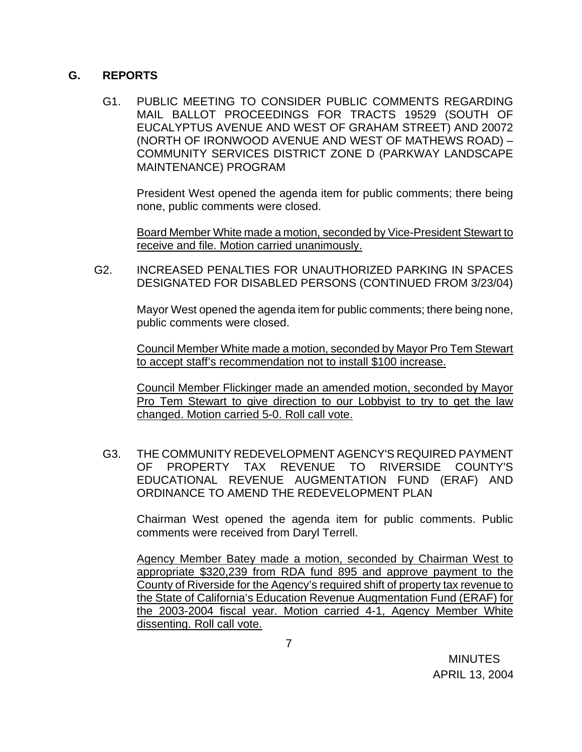### **G. REPORTS**

G1. PUBLIC MEETING TO CONSIDER PUBLIC COMMENTS REGARDING MAIL BALLOT PROCEEDINGS FOR TRACTS 19529 (SOUTH OF EUCALYPTUS AVENUE AND WEST OF GRAHAM STREET) AND 20072 (NORTH OF IRONWOOD AVENUE AND WEST OF MATHEWS ROAD) – COMMUNITY SERVICES DISTRICT ZONE D (PARKWAY LANDSCAPE MAINTENANCE) PROGRAM

President West opened the agenda item for public comments; there being none, public comments were closed.

 Board Member White made a motion, seconded by Vice-President Stewart to receive and file. Motion carried unanimously.

G2. INCREASED PENALTIES FOR UNAUTHORIZED PARKING IN SPACES DESIGNATED FOR DISABLED PERSONS (CONTINUED FROM 3/23/04)

> Mayor West opened the agenda item for public comments; there being none, public comments were closed.

> Council Member White made a motion, seconded by Mayor Pro Tem Stewart to accept staff's recommendation not to install \$100 increase.

> Council Member Flickinger made an amended motion, seconded by Mayor Pro Tem Stewart to give direction to our Lobbyist to try to get the law changed. Motion carried 5-0. Roll call vote.

G3. THE COMMUNITY REDEVELOPMENT AGENCY'S REQUIRED PAYMENT OF PROPERTY TAX REVENUE TO RIVERSIDE COUNTY'S EDUCATIONAL REVENUE AUGMENTATION FUND (ERAF) AND ORDINANCE TO AMEND THE REDEVELOPMENT PLAN

Chairman West opened the agenda item for public comments. Public comments were received from Daryl Terrell.

 Agency Member Batey made a motion, seconded by Chairman West to appropriate \$320,239 from RDA fund 895 and approve payment to the County of Riverside for the Agency's required shift of property tax revenue to the State of California's Education Revenue Augmentation Fund (ERAF) for the 2003-2004 fiscal year. Motion carried 4-1, Agency Member White dissenting. Roll call vote.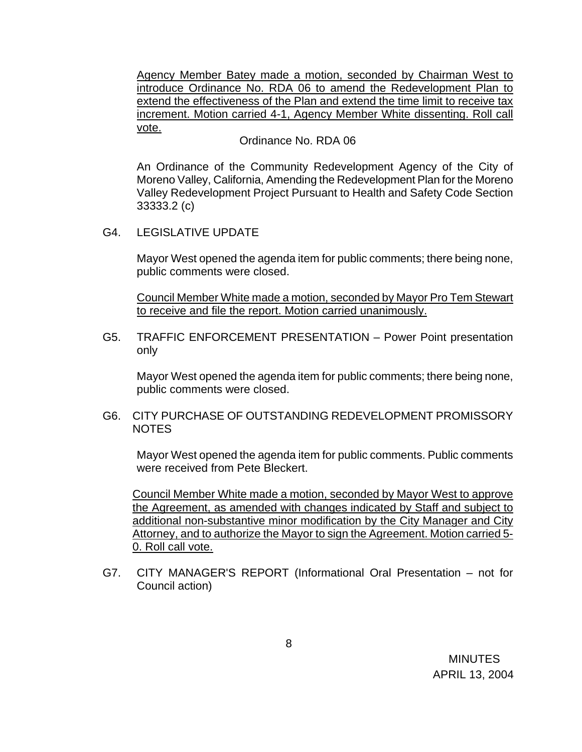Agency Member Batey made a motion, seconded by Chairman West to introduce Ordinance No. RDA 06 to amend the Redevelopment Plan to extend the effectiveness of the Plan and extend the time limit to receive tax increment. Motion carried 4-1, Agency Member White dissenting. Roll call vote.

#### Ordinance No. RDA 06

An Ordinance of the Community Redevelopment Agency of the City of Moreno Valley, California, Amending the Redevelopment Plan for the Moreno Valley Redevelopment Project Pursuant to Health and Safety Code Section 33333.2 (c)

G4. LEGISLATIVE UPDATE

Mayor West opened the agenda item for public comments; there being none, public comments were closed.

Council Member White made a motion, seconded by Mayor Pro Tem Stewart to receive and file the report. Motion carried unanimously.

G5. TRAFFIC ENFORCEMENT PRESENTATION – Power Point presentation only

Mayor West opened the agenda item for public comments; there being none, public comments were closed.

G6. CITY PURCHASE OF OUTSTANDING REDEVELOPMENT PROMISSORY NOTES

Mayor West opened the agenda item for public comments. Public comments were received from Pete Bleckert.

 Council Member White made a motion, seconded by Mayor West to approve the Agreement, as amended with changes indicated by Staff and subject to additional non-substantive minor modification by the City Manager and City Attorney, and to authorize the Mayor to sign the Agreement. Motion carried 5- 0. Roll call vote.

G7. CITY MANAGER'S REPORT (Informational Oral Presentation – not for Council action)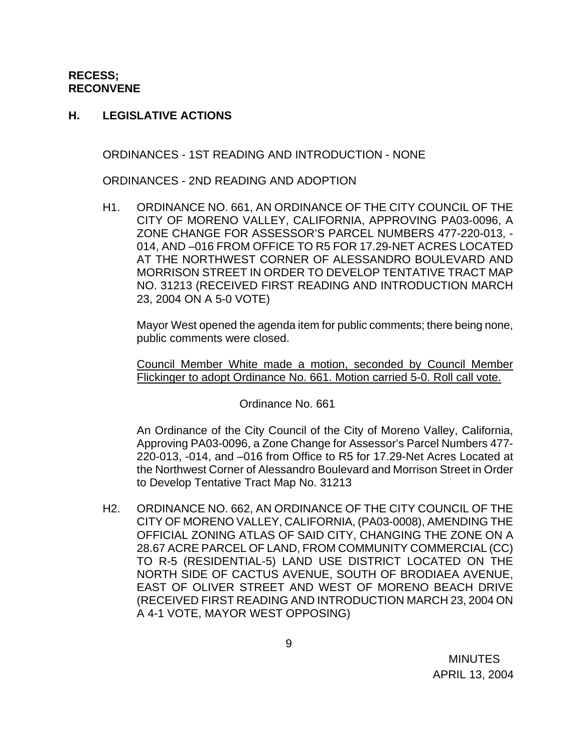**RECESS; RECONVENE** 

#### **H. LEGISLATIVE ACTIONS**

ORDINANCES - 1ST READING AND INTRODUCTION - NONE

ORDINANCES - 2ND READING AND ADOPTION

H1. ORDINANCE NO. 661, AN ORDINANCE OF THE CITY COUNCIL OF THE CITY OF MORENO VALLEY, CALIFORNIA, APPROVING PA03-0096, A ZONE CHANGE FOR ASSESSOR'S PARCEL NUMBERS 477-220-013, - 014, AND –016 FROM OFFICE TO R5 FOR 17.29-NET ACRES LOCATED AT THE NORTHWEST CORNER OF ALESSANDRO BOULEVARD AND MORRISON STREET IN ORDER TO DEVELOP TENTATIVE TRACT MAP NO. 31213 (RECEIVED FIRST READING AND INTRODUCTION MARCH 23, 2004 ON A 5-0 VOTE)

Mayor West opened the agenda item for public comments; there being none, public comments were closed.

 Council Member White made a motion, seconded by Council Member Flickinger to adopt Ordinance No. 661. Motion carried 5-0. Roll call vote.

Ordinance No. 661

An Ordinance of the City Council of the City of Moreno Valley, California, Approving PA03-0096, a Zone Change for Assessor's Parcel Numbers 477- 220-013, -014, and –016 from Office to R5 for 17.29-Net Acres Located at the Northwest Corner of Alessandro Boulevard and Morrison Street in Order to Develop Tentative Tract Map No. 31213

 H2. ORDINANCE NO. 662, AN ORDINANCE OF THE CITY COUNCIL OF THE CITY OF MORENO VALLEY, CALIFORNIA, (PA03-0008), AMENDING THE OFFICIAL ZONING ATLAS OF SAID CITY, CHANGING THE ZONE ON A 28.67 ACRE PARCEL OF LAND, FROM COMMUNITY COMMERCIAL (CC) TO R-5 (RESIDENTIAL-5) LAND USE DISTRICT LOCATED ON THE NORTH SIDE OF CACTUS AVENUE, SOUTH OF BRODIAEA AVENUE, EAST OF OLIVER STREET AND WEST OF MORENO BEACH DRIVE (RECEIVED FIRST READING AND INTRODUCTION MARCH 23, 2004 ON A 4-1 VOTE, MAYOR WEST OPPOSING)

**MINUTES** APRIL 13, 2004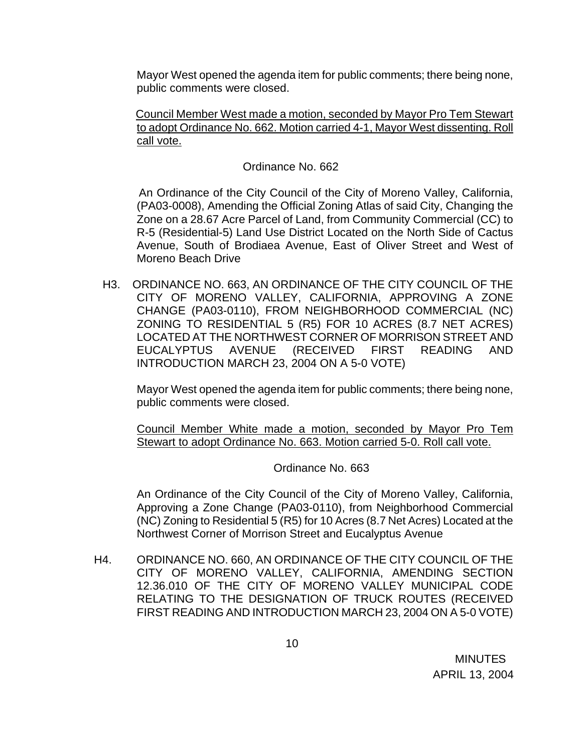Mayor West opened the agenda item for public comments; there being none, public comments were closed.

 Council Member West made a motion, seconded by Mayor Pro Tem Stewart to adopt Ordinance No. 662. Motion carried 4-1, Mayor West dissenting. Roll call vote.

#### Ordinance No. 662

 An Ordinance of the City Council of the City of Moreno Valley, California, (PA03-0008), Amending the Official Zoning Atlas of said City, Changing the Zone on a 28.67 Acre Parcel of Land, from Community Commercial (CC) to R-5 (Residential-5) Land Use District Located on the North Side of Cactus Avenue, South of Brodiaea Avenue, East of Oliver Street and West of Moreno Beach Drive

 H3. ORDINANCE NO. 663, AN ORDINANCE OF THE CITY COUNCIL OF THE CITY OF MORENO VALLEY, CALIFORNIA, APPROVING A ZONE CHANGE (PA03-0110), FROM NEIGHBORHOOD COMMERCIAL (NC) ZONING TO RESIDENTIAL 5 (R5) FOR 10 ACRES (8.7 NET ACRES) LOCATED AT THE NORTHWEST CORNER OF MORRISON STREET AND EUCALYPTUS AVENUE (RECEIVED FIRST READING AND INTRODUCTION MARCH 23, 2004 ON A 5-0 VOTE)

 Mayor West opened the agenda item for public comments; there being none, public comments were closed.

 Council Member White made a motion, seconded by Mayor Pro Tem Stewart to adopt Ordinance No. 663. Motion carried 5-0. Roll call vote.

#### Ordinance No. 663

An Ordinance of the City Council of the City of Moreno Valley, California, Approving a Zone Change (PA03-0110), from Neighborhood Commercial (NC) Zoning to Residential 5 (R5) for 10 Acres (8.7 Net Acres) Located at the Northwest Corner of Morrison Street and Eucalyptus Avenue

H4. ORDINANCE NO. 660, AN ORDINANCE OF THE CITY COUNCIL OF THE CITY OF MORENO VALLEY, CALIFORNIA, AMENDING SECTION 12.36.010 OF THE CITY OF MORENO VALLEY MUNICIPAL CODE RELATING TO THE DESIGNATION OF TRUCK ROUTES (RECEIVED FIRST READING AND INTRODUCTION MARCH 23, 2004 ON A 5-0 VOTE)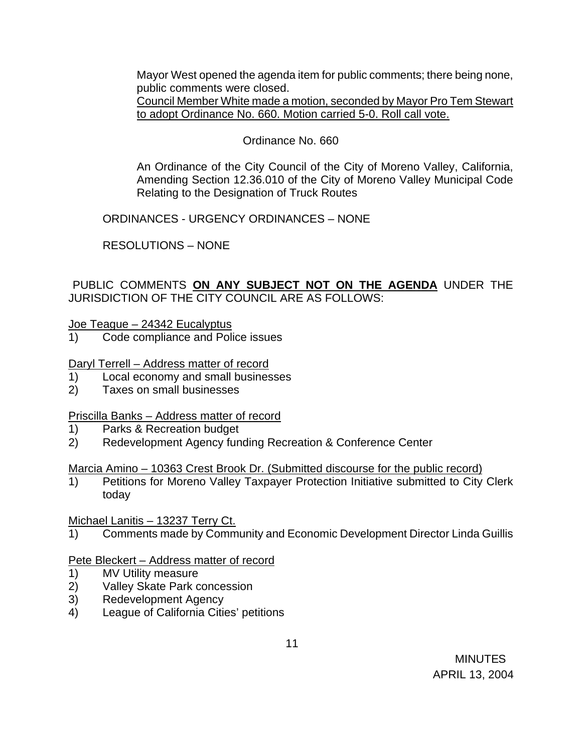Mayor West opened the agenda item for public comments; there being none, public comments were closed.

Council Member White made a motion, seconded by Mayor Pro Tem Stewart to adopt Ordinance No. 660. Motion carried 5-0. Roll call vote.

## Ordinance No. 660

An Ordinance of the City Council of the City of Moreno Valley, California, Amending Section 12.36.010 of the City of Moreno Valley Municipal Code Relating to the Designation of Truck Routes

ORDINANCES - URGENCY ORDINANCES – NONE

RESOLUTIONS – NONE

## PUBLIC COMMENTS **ON ANY SUBJECT NOT ON THE AGENDA** UNDER THE JURISDICTION OF THE CITY COUNCIL ARE AS FOLLOWS:

Joe Teague – 24342 Eucalyptus

1) Code compliance and Police issues

Daryl Terrell – Address matter of record

- 1) Local economy and small businesses
- 2) Taxes on small businesses

## Priscilla Banks – Address matter of record

- 1) Parks & Recreation budget
- 2) Redevelopment Agency funding Recreation & Conference Center

Marcia Amino – 10363 Crest Brook Dr. (Submitted discourse for the public record)

1) Petitions for Moreno Valley Taxpayer Protection Initiative submitted to City Clerk today

Michael Lanitis - 13237 Terry Ct.

1) Comments made by Community and Economic Development Director Linda Guillis

## Pete Bleckert – Address matter of record

- 1) MV Utility measure
- 2) Valley Skate Park concession
- 3) Redevelopment Agency
- 4) League of California Cities' petitions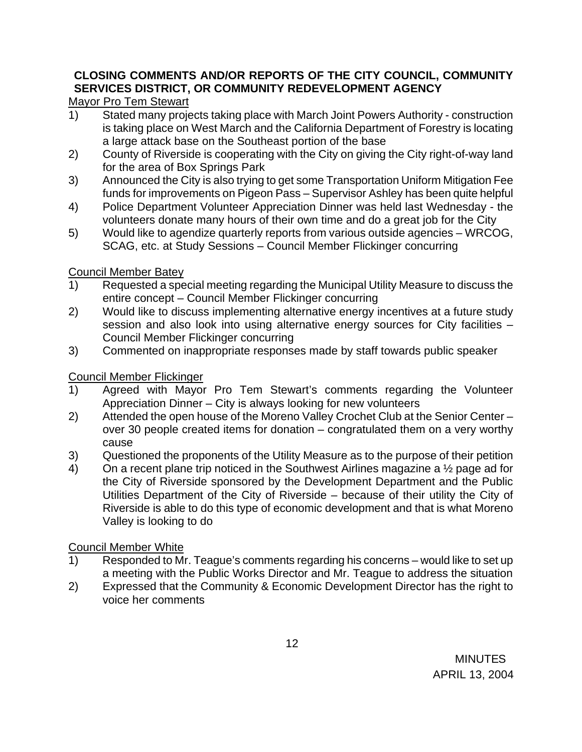# **CLOSING COMMENTS AND/OR REPORTS OF THE CITY COUNCIL, COMMUNITY SERVICES DISTRICT, OR COMMUNITY REDEVELOPMENT AGENCY**

# Mayor Pro Tem Stewart

- 1) Stated many projects taking place with March Joint Powers Authority construction is taking place on West March and the California Department of Forestry is locating a large attack base on the Southeast portion of the base
- 2) County of Riverside is cooperating with the City on giving the City right-of-way land for the area of Box Springs Park
- 3) Announced the City is also trying to get some Transportation Uniform Mitigation Fee funds for improvements on Pigeon Pass – Supervisor Ashley has been quite helpful
- 4) Police Department Volunteer Appreciation Dinner was held last Wednesday the volunteers donate many hours of their own time and do a great job for the City
- 5) Would like to agendize quarterly reports from various outside agencies WRCOG, SCAG, etc. at Study Sessions – Council Member Flickinger concurring

## Council Member Batey

- 1) Requested a special meeting regarding the Municipal Utility Measure to discuss the entire concept – Council Member Flickinger concurring
- 2) Would like to discuss implementing alternative energy incentives at a future study session and also look into using alternative energy sources for City facilities – Council Member Flickinger concurring
- 3) Commented on inappropriate responses made by staff towards public speaker

# Council Member Flickinger

- 1) Agreed with Mayor Pro Tem Stewart's comments regarding the Volunteer Appreciation Dinner – City is always looking for new volunteers
- 2) Attended the open house of the Moreno Valley Crochet Club at the Senior Center over 30 people created items for donation – congratulated them on a very worthy cause
- 3) Questioned the proponents of the Utility Measure as to the purpose of their petition
- 4) On a recent plane trip noticed in the Southwest Airlines magazine a ½ page ad for the City of Riverside sponsored by the Development Department and the Public Utilities Department of the City of Riverside – because of their utility the City of Riverside is able to do this type of economic development and that is what Moreno Valley is looking to do

## Council Member White

- 1) Responded to Mr. Teague's comments regarding his concerns would like to set up a meeting with the Public Works Director and Mr. Teague to address the situation
- 2) Expressed that the Community & Economic Development Director has the right to voice her comments